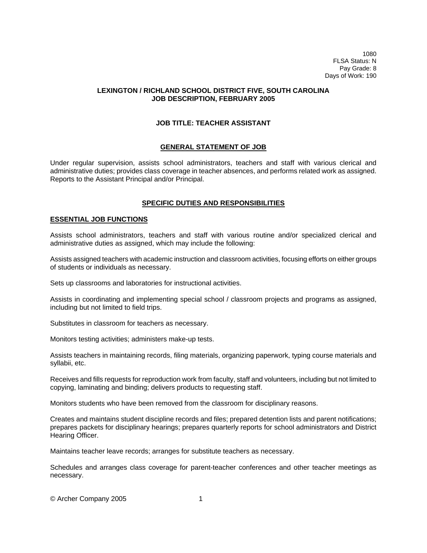1080 FLSA Status: N Pay Grade: 8 Days of Work: 190

## **LEXINGTON / RICHLAND SCHOOL DISTRICT FIVE, SOUTH CAROLINA JOB DESCRIPTION, FEBRUARY 2005**

# **JOB TITLE: TEACHER ASSISTANT**

### **GENERAL STATEMENT OF JOB**

Under regular supervision, assists school administrators, teachers and staff with various clerical and administrative duties; provides class coverage in teacher absences, and performs related work as assigned. Reports to the Assistant Principal and/or Principal.

# **SPECIFIC DUTIES AND RESPONSIBILITIES**

### **ESSENTIAL JOB FUNCTIONS**

Assists school administrators, teachers and staff with various routine and/or specialized clerical and administrative duties as assigned, which may include the following:

Assists assigned teachers with academic instruction and classroom activities, focusing efforts on either groups of students or individuals as necessary.

Sets up classrooms and laboratories for instructional activities.

Assists in coordinating and implementing special school / classroom projects and programs as assigned, including but not limited to field trips.

Substitutes in classroom for teachers as necessary.

Monitors testing activities; administers make-up tests.

Assists teachers in maintaining records, filing materials, organizing paperwork, typing course materials and syllabii, etc.

Receives and fills requests for reproduction work from faculty, staff and volunteers, including but not limited to copying, laminating and binding; delivers products to requesting staff.

Monitors students who have been removed from the classroom for disciplinary reasons.

Creates and maintains student discipline records and files; prepared detention lists and parent notifications; prepares packets for disciplinary hearings; prepares quarterly reports for school administrators and District Hearing Officer.

Maintains teacher leave records; arranges for substitute teachers as necessary.

Schedules and arranges class coverage for parent-teacher conferences and other teacher meetings as necessary.

© Archer Company 2005 1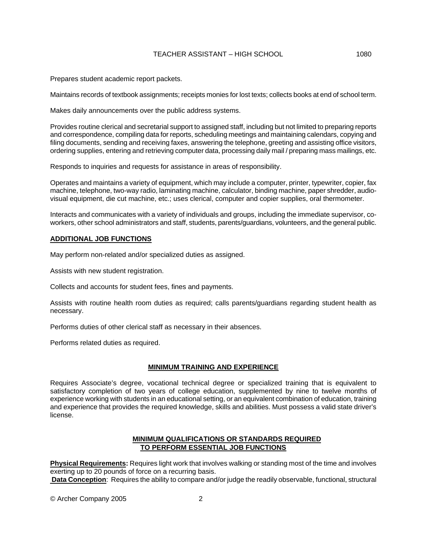# TEACHER ASSISTANT – HIGH SCHOOL 1080

Prepares student academic report packets.

Maintains records of textbook assignments; receipts monies for lost texts; collects books at end of school term.

Makes daily announcements over the public address systems.

Provides routine clerical and secretarial support to assigned staff, including but not limited to preparing reports and correspondence, compiling data for reports, scheduling meetings and maintaining calendars, copying and filing documents, sending and receiving faxes, answering the telephone, greeting and assisting office visitors, ordering supplies, entering and retrieving computer data, processing daily mail / preparing mass mailings, etc.

Responds to inquiries and requests for assistance in areas of responsibility.

Operates and maintains a variety of equipment, which may include a computer, printer, typewriter, copier, fax machine, telephone, two-way radio, laminating machine, calculator, binding machine, paper shredder, audiovisual equipment, die cut machine, etc.; uses clerical, computer and copier supplies, oral thermometer.

Interacts and communicates with a variety of individuals and groups, including the immediate supervisor, coworkers, other school administrators and staff, students, parents/guardians, volunteers, and the general public.

### **ADDITIONAL JOB FUNCTIONS**

May perform non-related and/or specialized duties as assigned.

Assists with new student registration.

Collects and accounts for student fees, fines and payments.

Assists with routine health room duties as required; calls parents/guardians regarding student health as necessary.

Performs duties of other clerical staff as necessary in their absences.

Performs related duties as required.

# **MINIMUM TRAINING AND EXPERIENCE**

Requires Associate's degree, vocational technical degree or specialized training that is equivalent to satisfactory completion of two years of college education, supplemented by nine to twelve months of experience working with students in an educational setting, or an equivalent combination of education, training and experience that provides the required knowledge, skills and abilities. Must possess a valid state driver's license.

# **MINIMUM QUALIFICATIONS OR STANDARDS REQUIRED TO PERFORM ESSENTIAL JOB FUNCTIONS**

**Physical Requirements:** Requires light work that involves walking or standing most of the time and involves exerting up to 20 pounds of force on a recurring basis.  **Data Conception**: Requires the ability to compare and/or judge the readily observable, functional, structural

© Archer Company 2005 2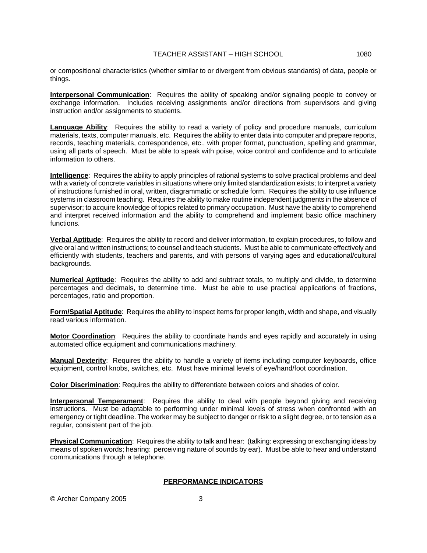or compositional characteristics (whether similar to or divergent from obvious standards) of data, people or things.

**Interpersonal Communication**: Requires the ability of speaking and/or signaling people to convey or exchange information. Includes receiving assignments and/or directions from supervisors and giving instruction and/or assignments to students.

**Language Ability**: Requires the ability to read a variety of policy and procedure manuals, curriculum materials, texts, computer manuals, etc. Requires the ability to enter data into computer and prepare reports, records, teaching materials, correspondence, etc., with proper format, punctuation, spelling and grammar, using all parts of speech. Must be able to speak with poise, voice control and confidence and to articulate information to others.

**Intelligence**: Requires the ability to apply principles of rational systems to solve practical problems and deal with a variety of concrete variables in situations where only limited standardization exists; to interpret a variety of instructions furnished in oral, written, diagrammatic or schedule form. Requires the ability to use influence systems in classroom teaching. Requires the ability to make routine independent judgments in the absence of supervisor; to acquire knowledge of topics related to primary occupation. Must have the ability to comprehend and interpret received information and the ability to comprehend and implement basic office machinery functions.

**Verbal Aptitude**: Requires the ability to record and deliver information, to explain procedures, to follow and give oral and written instructions; to counsel and teach students. Must be able to communicate effectively and efficiently with students, teachers and parents, and with persons of varying ages and educational/cultural backgrounds.

**Numerical Aptitude**: Requires the ability to add and subtract totals, to multiply and divide, to determine percentages and decimals, to determine time. Must be able to use practical applications of fractions, percentages, ratio and proportion.

**Form/Spatial Aptitude**: Requires the ability to inspect items for proper length, width and shape, and visually read various information.

**Motor Coordination**: Requires the ability to coordinate hands and eyes rapidly and accurately in using automated office equipment and communications machinery.

**Manual Dexterity**: Requires the ability to handle a variety of items including computer keyboards, office equipment, control knobs, switches, etc. Must have minimal levels of eye/hand/foot coordination.

**Color Discrimination**: Requires the ability to differentiate between colors and shades of color.

**Interpersonal Temperament**: Requires the ability to deal with people beyond giving and receiving instructions. Must be adaptable to performing under minimal levels of stress when confronted with an emergency or tight deadline. The worker may be subject to danger or risk to a slight degree, or to tension as a regular, consistent part of the job.

**Physical Communication**: Requires the ability to talk and hear: (talking: expressing or exchanging ideas by means of spoken words; hearing: perceiving nature of sounds by ear). Must be able to hear and understand communications through a telephone.

# **PERFORMANCE INDICATORS**

© Archer Company 2005 3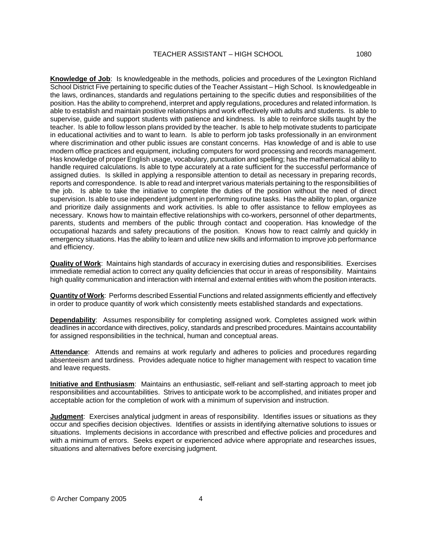**Knowledge of Job**: Is knowledgeable in the methods, policies and procedures of the Lexington Richland School District Five pertaining to specific duties of the Teacher Assistant – High School. Is knowledgeable in the laws, ordinances, standards and regulations pertaining to the specific duties and responsibilities of the position. Has the ability to comprehend, interpret and apply regulations, procedures and related information. Is able to establish and maintain positive relationships and work effectively with adults and students. Is able to supervise, guide and support students with patience and kindness. Is able to reinforce skills taught by the teacher. Is able to follow lesson plans provided by the teacher. Is able to help motivate students to participate in educational activities and to want to learn. Is able to perform job tasks professionally in an environment where discrimination and other public issues are constant concerns. Has knowledge of and is able to use modern office practices and equipment, including computers for word processing and records management. Has knowledge of proper English usage, vocabulary, punctuation and spelling; has the mathematical ability to handle required calculations. Is able to type accurately at a rate sufficient for the successful performance of assigned duties. Is skilled in applying a responsible attention to detail as necessary in preparing records, reports and correspondence. Is able to read and interpret various materials pertaining to the responsibilities of the job. Is able to take the initiative to complete the duties of the position without the need of direct supervision. Is able to use independent judgment in performing routine tasks. Has the ability to plan, organize and prioritize daily assignments and work activities. Is able to offer assistance to fellow employees as necessary. Knows how to maintain effective relationships with co-workers, personnel of other departments, parents, students and members of the public through contact and cooperation. Has knowledge of the occupational hazards and safety precautions of the position. Knows how to react calmly and quickly in emergency situations. Has the ability to learn and utilize new skills and information to improve job performance and efficiency.

**Quality of Work**: Maintains high standards of accuracy in exercising duties and responsibilities. Exercises immediate remedial action to correct any quality deficiencies that occur in areas of responsibility. Maintains high quality communication and interaction with internal and external entities with whom the position interacts.

**Quantity of Work**: Performs described Essential Functions and related assignments efficiently and effectively in order to produce quantity of work which consistently meets established standards and expectations.

**Dependability**: Assumes responsibility for completing assigned work. Completes assigned work within deadlines in accordance with directives, policy, standards and prescribed procedures. Maintains accountability for assigned responsibilities in the technical, human and conceptual areas.

Attendance: Attends and remains at work regularly and adheres to policies and procedures regarding absenteeism and tardiness. Provides adequate notice to higher management with respect to vacation time and leave requests.

**Initiative and Enthusiasm**: Maintains an enthusiastic, self-reliant and self-starting approach to meet job responsibilities and accountabilities. Strives to anticipate work to be accomplished, and initiates proper and acceptable action for the completion of work with a minimum of supervision and instruction.

**Judgment**: Exercises analytical judgment in areas of responsibility. Identifies issues or situations as they occur and specifies decision objectives. Identifies or assists in identifying alternative solutions to issues or situations. Implements decisions in accordance with prescribed and effective policies and procedures and with a minimum of errors. Seeks expert or experienced advice where appropriate and researches issues, situations and alternatives before exercising judgment.